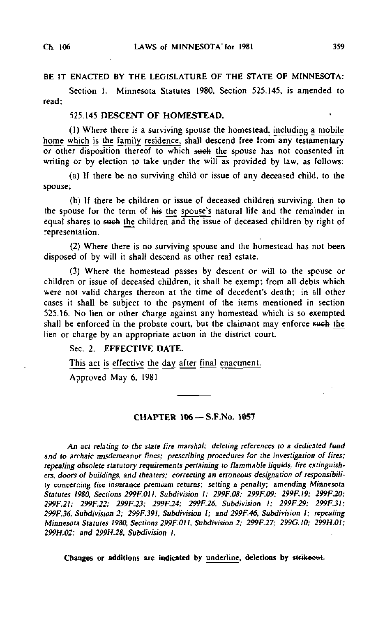### BE IT ENACTED BY THE LEGISLATURE OF THE STATE OF MINNESOTA:

Section I. Minnesota Statutes 1980, Section 525.145, is amended to read;

### 525.145 DESCENT OF HOMESTEAD.

(1) Where there is a surviving spouse the homestead, including a mobile home which is the family residence, shall descend free from any testamentary or other disposition thereof to which such the spouse has not consented in writing or by election to take under the will as provided by law, as follows:

(a) If there be no surviving child or issue of any deceased child, to the spouse;

(b) If there be children or issue of deceased children surviving, then to the spouse for the term of his the spouse's natural life and the remainder in equal shares to such the children and the issue of deceased children by right of representation.

(2) Where there is no surviving spouse and the homestead has not been disposed of by will it shall descend as other real estate.

(3) Where the homestead passes by descent or will to the spouse or children or issue of deceased children, it shall be exempt from all debts which were not valid charges thereon at the time of decedent's death; in all other cases it shall be subject to the payment of the items mentioned in section 525.16. No lien or other charge against any homestead which is so exempted shall be enforced in the probate court, but the claimant may enforce such the lien or charge by an appropriate action in the district court.

### Sec. 2. EFFECTIVE DATE.

This act is effective the day after final enactment.

Approved May 6. 1981

#### CHAPTER 106 —S.F.No. 1057

An act relating to the state fire marshal; deleting references to a dedicated fund and to archaic misdemeanor fines; prescribing procedures for the investigation of fires; repealing obsolete statutory requirements pertaining to flammable liquids, fire extinguishers, doors of buildings, and theaters; correcting an erroneous designation of responsibility concerning fire insurance premium returns; setting a penalty; amending Minnesota Statutes 1980. Sections 299F.OI I, Subdivision I; 299F.08; 299F.09; 299F.I9; 299F.20; 299F.2I; 299F.22; 299F.23: 299F.24; 299F.26. Subdivision I; 299F.29; 299F.3I; 299F.36, Subdivision 2; 299F.39I, Subdivision I; and 299F.46, Subdivision I; repealing Minnesota Statutes 1980, Sections 299F.011, Subdivision 2; 299F.27; 299G.IO; 299H.OI; 299H.02; and 299H.28, Subdivision I.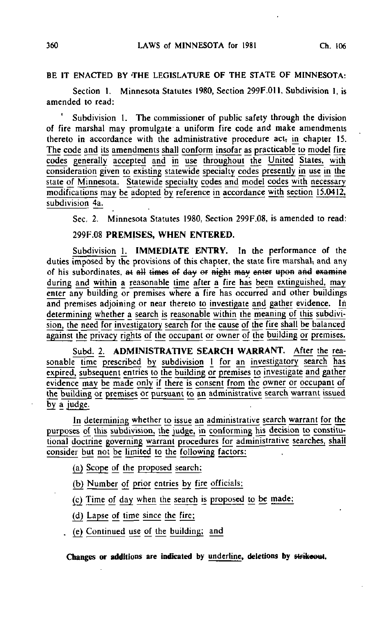# BE IT ENACTED BY THE LEGISLATURE OF THE STATE OF MINNESOTA:

Section 1. Minnesota Statutes 1980, Section 299F.011, Subdivision 1, is amended to read:

Subdivision 1. The commissioner of public safety through the division of fire marshal may promulgate a uniform fire code and make amendments thereto in accordance with the administrative procedure act, in chapter 15. The code and its amendments shall conform insofar as practicable to modej fire codes generally accepted and in use throughout the United States, with consideration given to existing statewide specialty codes presently in use in the state of Minnesota. Statewide specialty codes and model codes with necessary modifications may be adopted by reference in accordance with section 15.0412, subdivision 4a.

Sec, 2. Minnesota Statutes 1980, Section 299F.08, is amended to read:

#### 299F.08 PREMISES, WHEN ENTERED.

Subdivision 1. IMMEDIATE ENTRY. In the performance of the duties imposed by the provisions of this chapter, the state fire marshal, and any of his subordinates, at all times of day or night may enter upon and examine during and within a reasonable time after a fire has been extinguished, may enter any building or premises where a fire has occurred and other buildings and premises adjoining or near thereto to investigate and gather evidence. In determining whether a search is reasonable within the meaning of this subdivision, the need for investigatory search for the cause of the fire shall be balanced against the privacy rights of the occupant or owner of the building or premises.

Subd. 2. ADMINISTRATIVE SEARCH WARRANT. After the reasonable time prescribed by subdivision 1 for an investigatory search has expired, subsequent entries to the building or premises to investigate and gather evidence may be made only if there is consent from the owner or occupant of the building or premises or pursuant to an administrative search warrant issued by a judge.

In determining whether to issue an administrative search warrant for the purposes of this subdivision, the judge, in conforming his decision to constitutional doctrine governing warrant procedures for administrative searches, shall consider but not be limited to the following factors:

(a) Scope of the proposed search;

(b) Number of prior entries by fire officials;

(c) Time of day when the search is proposed to be made;

(d) Lapse of time since the fire;

(e) Continued use of the building; and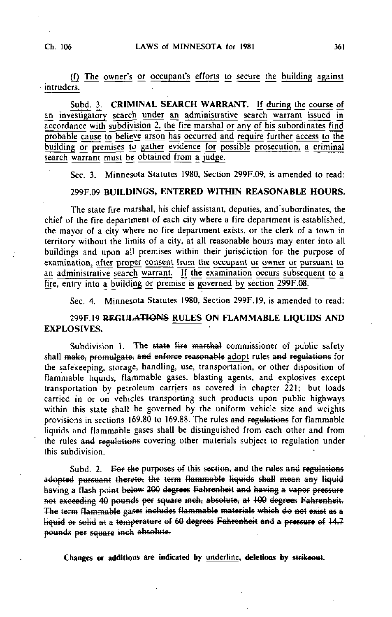(f) The owner's or occupant's efforts to secure the building against intruders.

Subd. 3. CRIMINAL SEARCH WARRANT. If during the course of an investigatory search under an administrative search warrant issued in accordance with subdivision 2, the fire marshal or any of his subordinates find probable cause to believe arson has occurred and require further access to the building or premises to gather evidence for possible prosecution, a criminal search warrant must be obtained from a judge.

Sec. 3. Minnesota Statutes 1980, Section 299F.09, is amended to read:

#### 299F.09 BUILDINGS, ENTERED WITHIN REASONABLE HOURS.

The state fire marshal, his chief assistant, deputies, and'subordinates, the chief of the fire department of each city where a fire department is established, the mayor of a city where no fire department exists, or the clerk of a town in territory without the limits of a city, at all reasonable hours may enter into all buildings and upon all premises within their jurisdiction for the purpose of examination, after proper consent from the occupant or owner or pursuant to an administrative search warrant. If the examination occurs subsequent to a fire, entry into a building or premise is governed by section 299F.08.

Sec. 4. Minnesota Statutes 1980, Section 299F.19, is amended to read:

# 299F.19 REGULATIONS RULES ON FLAMMABLE LIQUIDS AND EXPLOSIVES.

Subdivision 1. The state fire marshal commissioner of public safety shall make, promulgate, and enforce reasonable adopt rules and regulations for the safekeeping, storage, handling, use, transportation, or other disposition of flammable liquids, flammable gases, blasting agents, and explosives except transportation by petroleum carriers as covered in chapter 221; but loads carried in or on vehicles transporting such products upon public highways within this state shall be governed by the uniform vehicle size and weights provisions in sections 169.80 to 169.88. The rules and regulations for flammable liquids and flammable gases shall be distinguished from each other and from the rules and regulations covering other materials subject to regulation under this subdivision.

Subd. 2. For the purposes of this section, and the rules and regulations adopted pursuant thereto, the term flammable liquids shall mean any liquid having a flash point below 200 degrees Fahrenheit and having a vapor pressure not exceeding 40 pounds per square inch, absolute, at 100 degrees Fahrenheit. The term flammable gases includes flammable materials which do not exist as a liquid or solid at a temperature of 60 degrees Fahrenheit and a pressure of 14.7 pounds per square inch absolute.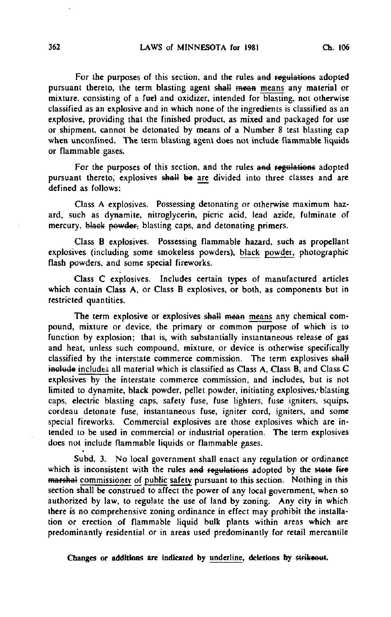For the purposes of this section, and the rules and regulations adopted pursuant thereto, the term blasting agent shall mean means any material or mixture, consisting of a fuel and oxidizer, intended for blasting, not otherwise classified as an explosive and in which none of the ingredients is classified as an explosive, providing that the finished product, as mixed and packaged for use or shipment, cannot be detonated by means of a Number 8 test blasting cap when unconfined. The term blasting agent does not include flammable liquids or flammable gases.

For the purposes of this section, and the rules and regulations adopted pursuant thereto, explosives shall be are divided into three classes and are defined as follows:

Class A explosives. Possessing detonating or otherwise maximum hazard, such as dynamite, nitroglycerin, picric acid, lead azide, fulminate of mercury, black powder, blasting caps, and detonating primers.

Class B explosives. Possessing flammable hazard, such as propellant explosives (including some smokeless powders), black powder, photographic flash powders, and some special fireworks.

Class C explosives. Includes certain types of manufactured articles which contain Class A, or Class B explosives, or both, as components but in restricted quantities.

The term explosive or explosives shall mean means any chemical compound, mixture or device, the primary or common purpose of which is to function by explosion; that is, with substantially instantaneous release of gas and heat, unless such compound, mixture, or device is otherwise specifically classified by the interstate commerce commission. The term explosives shall include includes all material which is classified as Class A, Class B, and Class C explosives by the interstate commerce commission, and includes, but is not limited to dynamite, black powder, pellet powder, initiating explosives, blasting caps, electric blasting caps, safety fuse, fuse lighters, fuse igniters, squips, cordeau detonate fuse, instantaneous fuse, igniter cord, igniters, and some special fireworks. Commercial explosives are those explosives which are intended to be used in commercial or industrial operation. The term explosives does not include flammable liquids or flammable gases.

Subd. 3. No local government shall enact any regulation or ordinance which is inconsistent with the rules and regulations adopted by the state fire marshal commissioner of public safety pursuant to this section. Nothing in this section shall be construed to affect the power of any local government, when so authorized by law, to regulate the use of land by zoning. Any city in which there is no comprehensive zoning ordinance in effect may prohibit the installation or erection of flammable liquid bulk plants within areas which are predominantly residential or in areas used predominantly for retail mercantile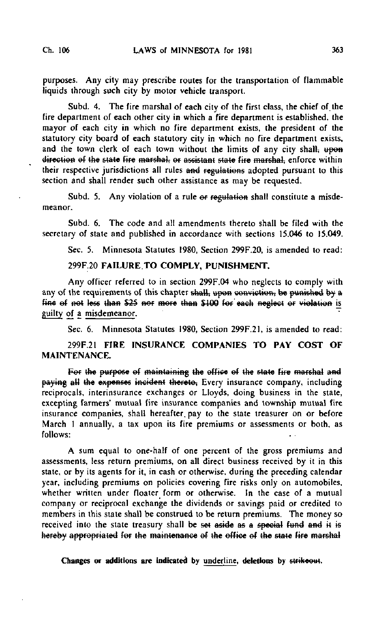purposes. Any city may prescribe routes for the transportation of flammable liquids through such city by motor vehicle transport.

Subd. 4. The fire marshal of each city of the first class, the chief of the fire department of each other city in which a fire department is established, the mayor of each city in which no fire department exists, the president of the statutory city board of each statutory city in which no fire department exists, and the town clerk of each town without the limits of any city shall; upon direction of the state fire marshal, or assistant state fire marshal, enforce within their respective jurisdictions all rules and regulations adopted pursuant to this section and shall render such other assistance as may be requested.

Subd. 5. Any violation of a rule of regulation shall constitute a misdemeanor.

Subd. 6. The code and all amendments thereto shall be filed with the secretary of state and published in accordance with sections 15.046 to 15.049.

Sec. 5. Minnesota Statutes 1980, Section 299F.20, is amended to read:

#### 299F.20 FAILURE TO COMPLY, PUNISHMENT.

Any officer referred to in section 299F.04 who neglects to comply with any of the requirements of this chapter shall, upon conviction, be punished by a fine of not less than \$25 nor more than \$100 for each neglect or violation is guilty of a misdemeanor.

Sec. 6. Minnesota Statutes 1980, Section 299F.21, is amended to read:

299F.21 FIRE INSURANCE COMPANIES TO PAY COST OF MAINTENANCE.

For the purpose of maintaining the office of the state fire marshal a paying all the expenses incident thereto, Every insurance company, including reciprocals, interinsurance exchanges or Lloyds, doing business in the state, excepting farmers' mutual fire insurance companies and township mutual fire insurance companies, shall hereafter, pay to the state treasurer on or before March 1 annually, a tax upon its fire premiums or assessments or both, as follows:

A sum equal to one-half of one percent of the gross premiums and assessments, less return premiums, on all direct business received by it in this state, or by its agents for it, in cash or otherwise, during the preceding calendar year, including premiums on policies covering fire risks only on automobiles, whether written under floater form or otherwise. In the case of a mutual company or reciprocal exchange the dividends or savings paid or credited to members in this state shall be construed to be return premiums. The money so received into the state treasury shall be set aside as a special fund and it is hereby appropriated for the maintenance of the office of the state fire marshal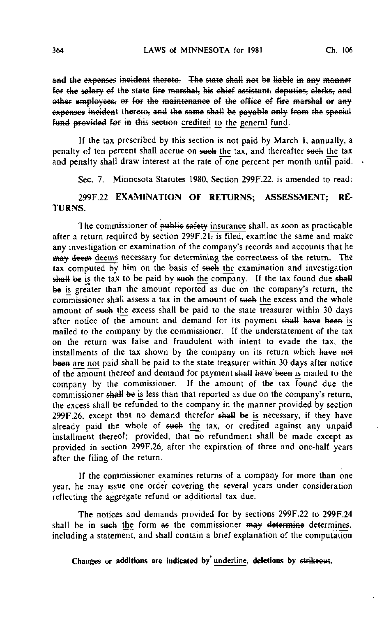and the expenses incident thereto. The state shall not be liable in any manner for the salary of the state fire marshal, his chief assistant, deputies, clerks, and other employees. or for the maintenance of the office of fire marshal or any expenses incident thereto, and the same shall be payable only from the special fund provided for in this section credited to the general fund.

If the tax prescribed by this section is not paid by March I. annually, a penalty of ten percent shall accrue on such the tax, and thereafter such the tax and penalty shall draw interest at the rate of one percent per month until paid.  $\cdot$ 

Sec. 7. Minnesota Statutes 1980, Section 299F.22, is amended to read:

### 299F.22 EXAMINATION OF RETURNS; ASSESSMENT; RE-TURNS.

The commissioner of public safety insurance shall, as soon as practicable after a return required by section  $299F.21$ , is filed, examine the same and make any investigation or examination of the company's records and accounts that he may deem deems necessary for determining the correctness of the return. The tax computed by him on the basis of such the examination and investigation shall be is the tax to be paid by such the company. If the tax found due shall be is greater than the amount reported as due on the company's return, the commissioner shall assess a tax in the amount of such the excess and the whole amount of such the excess shall be paid to the state treasurer within 30 days after notice of the amount and demand for its payment shall have been is mailed to the company by the commissioner. If the understatement of the tax on the return was false and fraudulent with intent to evade the tax, the installments of the tax shown by the company on its return which have not been are not paid shall be paid to the state treasurer within 30 days after notice of the amount thereof and demand for payment shall have been is mailed to the company by the commissioner. If the amount of the tax found due the commissioner shall be is less than that reported as due on the company's return, the excess shall be refunded to the company in the manner provided by section 299F.26, except that no demand therefor shall be is necessary, if they have already paid the whole of such the tax, or credited against any unpaid installment thereof; provided, that no refundment shall be made except as provided in section 299F.26, after the expiration of three and one-half years after the filing of the return.

If the commissioner examines returns of a company for more than one year, he may issue one order covering the several years under consideration reflecting the aggregate refund or additional tax due.

The notices and demands provided for by sections 299F.22 to 299F.24 shall be in such the form as the commissioner may determine determines. including a statement, and shall contain a brief explanation of the computation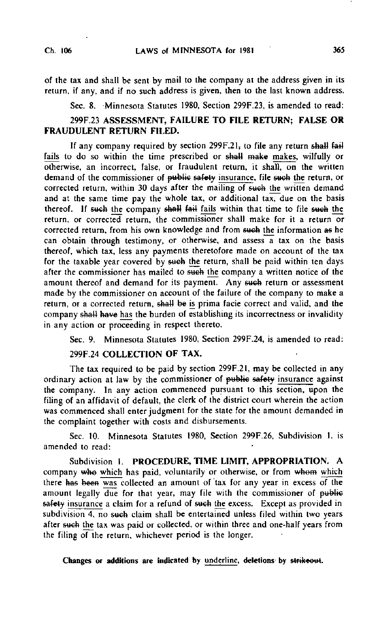of the tax and shall be sent by mail to the company at the address given in its return, if any, and if no such address is given, then to the last known address.

Sec. 8. Minnesota Statutes 1980, Section 299F.23, is amended to read:

# 299F.23 ASSESSMENT, FAILURE TO FILE RETURN; FALSE OR FRAUDULENT RETURN FILED.

If any company required by section  $299F.21$ ; to file any return shall fail fails to do so within the time prescribed or shall make makes, wilfully or otherwise, an incorrect, false, or fraudulent return, it shall, on the written demand of the commissioner of public safety insurance, file such the return, or corrected return, within 30 days after the mailing of such the written demand and at the same time pay the whole tax, or additional tax, due on the basis thereof. If such the company shall fail fails within that time to file such the return, or corrected return, the commissioner shall make for it a return or corrected return, from his own knowledge and from such the information as he can obtain through testimony, or otherwise, and assess a tax on the basis thereof, which tax, less any payments theretofore made on account of the tax for the taxable year covered by sueh the return, shall be paid within ten days after the commissioner has mailed to such the company a written notice of the amount thereof and demand for its payment. Any such return or assessment made by the commissioner on account of the failure of the company to make a return, or a corrected return, shall be is prima facie correct and valid, and the company shall have has the burden of establishing its incorrectness or invalidity in any action or proceeding in respect thereto.

Sec. 9. Minnesota Statutes 1980, Section 299F.24, is amended to read:

### 299F.24 COLLECTION OF TAX.

The tax required to be paid by section 299F.21, may be collected in any ordinary action at law by the commissioner of public safety insurance against the company. In any action commenced pursuant to this section, upon the filing of an affidavit of default, the clerk of the district court wherein the action was commenced shall enter judgment for the state for the amount demanded in the complaint together with costs and disbursements.

Sec. 10. Minnesota Statutes 1980, Section 299F.26, Subdivision I, is amended to read:

Subdivision 1. PROCEDURE, TIME LIMIT, APPROPRIATION. A company who which has paid, voluntarily or otherwise, or from whom which there has been was collected an amount of tax for any year in excess of the amount legally due for that year, may file with the commissioner of public safety insurance a claim for a refund of such the excess. Except as provided in subdivision 4, no such claim shall be entertained unless filed within two years after sueh the tax was paid or collected, or within three and one-half years from the filing of the return, whichever period is the longer.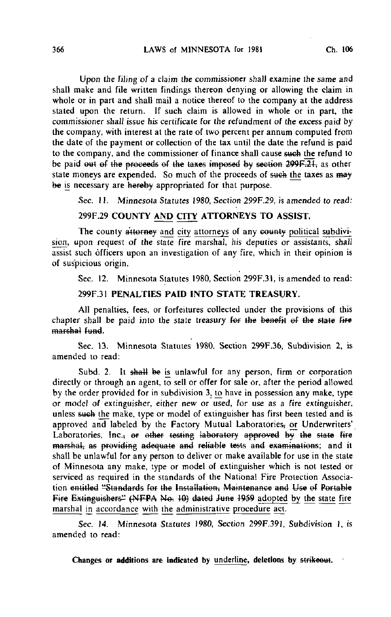Upon the filing of a claim the commissioner shall examine the same and shall make and file written findings thereon denying or allowing the claim in whole or in part and shall mail a notice thereof to the company at the address stated upon the return. If such claim is allowed in whole or in part, the commissioner shall issue his certificate for the refundment of the excess paid by the company, with interest at the rate of two percent per annum computed from the date of the payment or collection of the tax until the date the refund is paid to the company, and the commissioner of finance shall cause sueh the refund to be paid out of the proceeds of the taxes imposed by section  $299F.21$ , as other state moneys are expended. So much of the proceeds of such the taxes as may be is necessary are hereby appropriated for that purpose.

Sec. 11. Minnesota Statutes 1980, Section 299F.29, is amended to read:

# 299F.29 COUNTY AND CITY ATTORNEYS TO ASSIST.

The county attorney and city attorneys of any county political subdivision, upon request of the state fire marshal, his deputies or assistants, shall assist such officers upon an investigation of any fire, which in their opinion is of suspicious origin.

Sec. 12. Minnesota Statutes 1980, Section 299F.31, is amended to read:

# 299F.31 PENALTIES PAID INTO STATE TREASURY.

All penalties, fees, or forfeitures collected under the provisions of this chapter shall be paid into the state treasury for the benefit of the state fire marshal fund.

Sec. 13. Minnesota Statutes 1980, Section 299F.36, Subdivision 2, is amended to read:

Subd. 2. It shall be is unlawful for any person, firm or corporation directly or through an agent, to sell or offer for sale or, after the period allowed by the order provided for in subdivision 3, to have in possession any make, type or model of extinguisher, either new or used, for use as a fire extinguisher, unless &web the make, type or model of extinguisher has first been tested and is approved and labeled by the Factory Mutual Laboratories; or Underwriters' Laboratories, Inc., or other testing laboratory approved by the state fire marshal, as providing adequate and reliable tests and examinations; and it shall be unlawful for any person to deliver or make available for use in the state of Minnesota any make, type or model of extinguisher which is not tested or serviced as required in the standards of the National Fire Protection Association entitled "Standards fef the Installation, Maintenance and Use ef Portable Fire Extinguishers" (NFPA No. 10) dated June 1959 adopted by the state fire marshal in accordance with the administrative procedure act.

Sec. 14. Minnesota Statutes 1980, Section 299F.391, Subdivision 1, is amended to read: